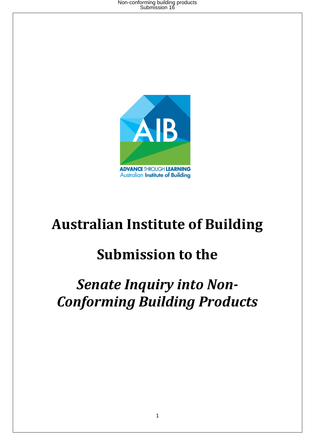

# **Australian Institute of Building**

# **Submission to the**

# *Senate Inquiry into Non-Conforming Building Products*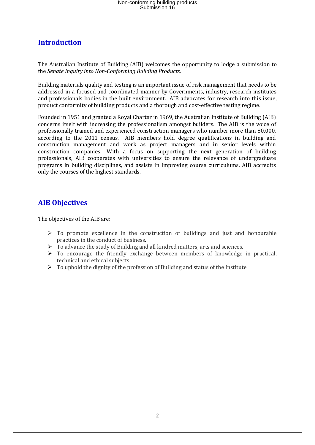## **Introduction**

The Australian Institute of Building (AIB) welcomes the opportunity to lodge a submission to the *Senate Inquiry into Non-Conforming Building Products.*

Building materials quality and testing is an important issue of risk management that needs to be addressed in a focused and coordinated manner by Governments, industry, research institutes and professionals bodies in the built environment. AIB advocates for research into this issue, product conformity of building products and a thorough and cost-effective testing regime.

Founded in 1951 and granted a Royal Charter in 1969, the Australian Institute of Building (AIB) concerns itself with increasing the professionalism amongst builders. The AIB is the voice of professionally trained and experienced construction managers who number more than 80,000, according to the 2011 census. AIB members hold degree qualifications in building and construction management and work as project managers and in senior levels within construction companies. With a focus on supporting the next generation of building professionals, AIB cooperates with universities to ensure the relevance of undergraduate programs in building disciplines, and assists in improving course curriculums. AIB accredits only the courses of the highest standards.

### **AIB Objectives**

The objectives of the AIB are:

- $\triangleright$  To promote excellence in the construction of buildings and just and honourable practices in the conduct of business.
- $\triangleright$  To advance the study of Building and all kindred matters, arts and sciences.
- $\triangleright$  To encourage the friendly exchange between members of knowledge in practical, technical and ethical subjects.
- $\triangleright$  To uphold the dignity of the profession of Building and status of the Institute.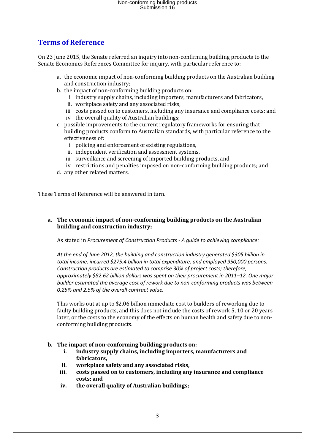## **Terms of Reference**

On 23 June 2015, the Senate referred an inquiry into non-confirming building products to the Senate Economics References Committee for inquiry, with particular reference to:

- a. the economic impact of non-conforming building products on the Australian building and construction industry;
- b. the impact of non-conforming building products on:
	- i. industry supply chains, including importers, manufacturers and fabricators,
	- ii. workplace safety and any associated risks,
	- iii. costs passed on to customers, including any insurance and compliance costs; and
	- iv. the overall quality of Australian buildings;
- c. possible improvements to the current regulatory frameworks for ensuring that building products conform to Australian standards, with particular reference to the effectiveness of:
	- i. policing and enforcement of existing regulations,
	- ii. independent verification and assessment systems,
	- iii. surveillance and screening of imported building products, and
	- iv. restrictions and penalties imposed on non-conforming building products; and
- d. any other related matters.

These Terms of Reference will be answered in turn.

#### **a. The economic impact of non-conforming building products on the Australian building and construction industry;**

As stated in *Procurement of Construction Products - A guide to achieving compliance:*

*At the end of June 2012, the building and construction industry generated \$305 billion in total income, incurred \$275.4 billion in total expenditure, and employed 950,000 persons. Construction products are estimated to comprise 30% of project costs; therefore, approximately \$82.62 billion dollars was spent on their procurement in 2011–12. One major builder estimated the average cost of rework due to non-conforming products was between 0.25% and 2.5% of the overall contract value.* 

This works out at up to \$2.06 billion immediate cost to builders of reworking due to faulty building products, and this does not include the costs of rework 5, 10 or 20 years later, or the costs to the economy of the effects on human health and safety due to nonconforming building products.

#### **b. The impact of non-conforming building products on:**

- **i. industry supply chains, including importers, manufacturers and fabricators,**
- **ii. workplace safety and any associated risks,**
- **iii. costs passed on to customers, including any insurance and compliance costs; and**
- **iv. the overall quality of Australian buildings;**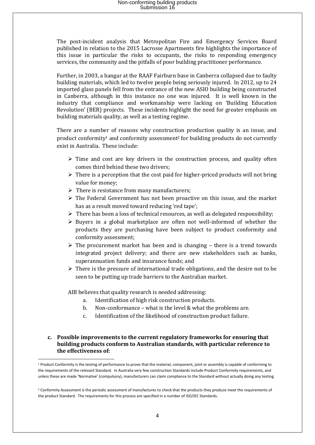The post-incident analysis that Metropolitan Fire and Emergency Services Board published in relation to the 2015 Lacrosse Apartments fire highlights the importance of this issue in particular the risks to occupants, the risks to responding emergency services, the community and the pitfalls of poor building practitioner performance.

Further, in 2003, a hangar at the RAAF Fairburn base in Canberra collapsed due to faulty building materials, which led to twelve people being seriously injured. In 2012, up to 24 imported glass panels fell from the entrance of the new ASIO building being constructed in Canberra, although in this instance no one was injured. It is well known in the industry that compliance and workmanship were lacking on 'Building Education Revolution' (BER) projects. These incidents highlight the need for greater emphasis on building materials quality, as well as a testing regime.

There are a number of reasons why construction production quality is an issue, and product conformity<sup>1</sup> and conformity assessment<sup>2</sup> for building products do not currently exist in Australia. These include:

- $\triangleright$  Time and cost are key drivers in the construction process, and quality often comes third behind these two drivers;
- $\triangleright$  There is a perception that the cost paid for higher-priced products will not bring value for money;
- $\triangleright$  There is resistance from many manufacturers;
- $\triangleright$  The Federal Government has not been proactive on this issue, and the market has as a result moved toward reducing 'red tape';
- $\triangleright$  There has been a loss of technical resources, as well as delegated responsibility;
- $\triangleright$  Buyers in a global marketplace are often not well-informed of whether the products they are purchasing have been subject to product conformity and conformity assessment;
- $\triangleright$  The procurement market has been and is changing there is a trend towards integrated project delivery; and there are new stakeholders such as banks, superannuation funds and insurance funds; and
- $\triangleright$  There is the pressure of international trade obligations, and the desire not to be seen to be putting up trade barriers to the Australian market.

AIB believes that quality research is needed addressing:

**.** 

- a. Identification of high risk construction products.
- b. Non-conformance what is the level & what the problems are.
- c. Identification of the likelihood of construction product failure.

#### **c. Possible improvements to the current regulatory frameworks for ensuring that building products conform to Australian standards, with particular reference to the effectiveness of:**

<sup>&</sup>lt;sup>1</sup> Product Conformity is the testing of performance to prove that the material, component, joint or assembly is capable of conforming to the requirements of the relevant Standard. In Australia very few construction Standards include Product Conformity requirements, and unless these are made 'Normative' (compulsory), manufacturers can claim compliance to the Standard without actually doing any testing.

<sup>&</sup>lt;sup>2</sup> Conformity Assessment is the periodic assessment of manufactures to check that the products they produce meet the requirements of the product Standard. The requirements for this process are specified in a number of ISO/IEC Standards.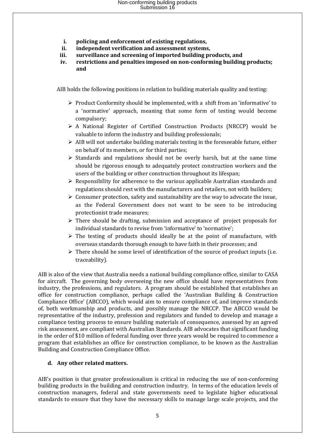- **i. policing and enforcement of existing regulations,**
- **ii. independent verification and assessment systems,**
- **iii. surveillance and screening of imported building products, and**
- **iv. restrictions and penalties imposed on non-conforming building products; and**

AIB holds the following positions in relation to building materials quality and testing:

- $\triangleright$  Product Conformity should be implemented, with a shift from an 'informative' to a 'normative' approach, meaning that some form of testing would become compulsory;
- A National Register of Certified Construction Products (NRCCP) would be valuable to inform the industry and building professionals;
- $\triangleright$  AIB will not undertake building materials testing in the foreseeable future, either on behalf of its members, or for third parties;
- $\triangleright$  Standards and regulations should not be overly harsh, but at the same time should be rigorous enough to adequately protect construction workers and the users of the building or other construction throughout its lifespan;
- $\triangleright$  Responsibility for adherence to the various applicable Australian standards and regulations should rest with the manufacturers and retailers, not with builders;
- $\triangleright$  Consumer protection, safety and sustainability are the way to advocate the issue, as the Federal Government does not want to be seen to be introducing protectionist trade measures;
- $\triangleright$  There should be drafting, submission and acceptance of project proposals for individual standards to revise from 'informative' to 'normative':
- $\triangleright$  The testing of products should ideally be at the point of manufacture, with overseas standards thorough enough to have faith in their processes; and
- $\triangleright$  There should be some level of identification of the source of product inputs (i.e. traceability).

AIB is also of the view that Australia needs a national building compliance office, similar to CASA for aircraft. The governing body overseeing the new office should have representatives from industry, the professions, and regulators. A program should be established that establishes an office for construction compliance, perhaps called the 'Australian Building & Construction Compliance Office' (ABCCO), which would aim to ensure compliance of, and improve standards of, both workmanship and products, and possibly manage the NRCCP. The ABCCO would be representative of the industry, profession and regulators and funded to develop and manage a compliance testing process to ensure building materials of consequence, assessed by an agreed risk assessment, are compliant with Australian Standards. AIB advocates that significant funding in the order of \$10 million of federal funding over three years would be required to commence a program that establishes an office for construction compliance, to be known as the Australian Building and Construction Compliance Office.

#### **d. Any other related matters.**

AIB's position is that greater professionalism is critical in reducing the use of non-conforming building products in the building and construction industry. In terms of the education levels of construction managers, federal and state governments need to legislate higher educational standards to ensure that they have the necessary skills to manage large scale projects, and the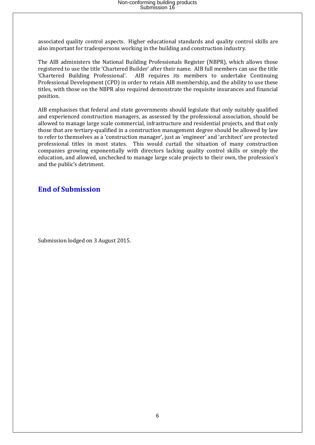associated quality control aspects. Higher educational standards and quality control skills are also important for tradespersons working in the building and construction industry.

The AIB administers the National Building Professionals Register (NBPR), which allows those registered to use the title 'Chartered Builder' after their name. AIB full members can use the title 'Chartered Building Professional'. AIB requires its members to undertake Continuing Professional Development (CPD) in order to retain AIB membership, and the ability to use these titles, with those on the NBPR also required demonstrate the requisite insurances and financial position.

AIB emphasises that federal and state governments should legislate that only suitably qualified and experienced construction managers, as assessed by the professional association, should be allowed to manage large scale commercial, infrastructure and residential projects, and that only those that are tertiary-qualified in a construction management degree should be allowed by law to refer to themselves as a 'construction manager', just as 'engineer' and 'architect' are protected professional titles in most states. This would curtail the situation of many construction companies growing exponentially with directors lacking quality control skills or simply the education, and allowed, unchecked to manage large scale projects to their own, the profession's and the public's detriment.

### **End of Submission**

Submission lodged on 3 August 2015.